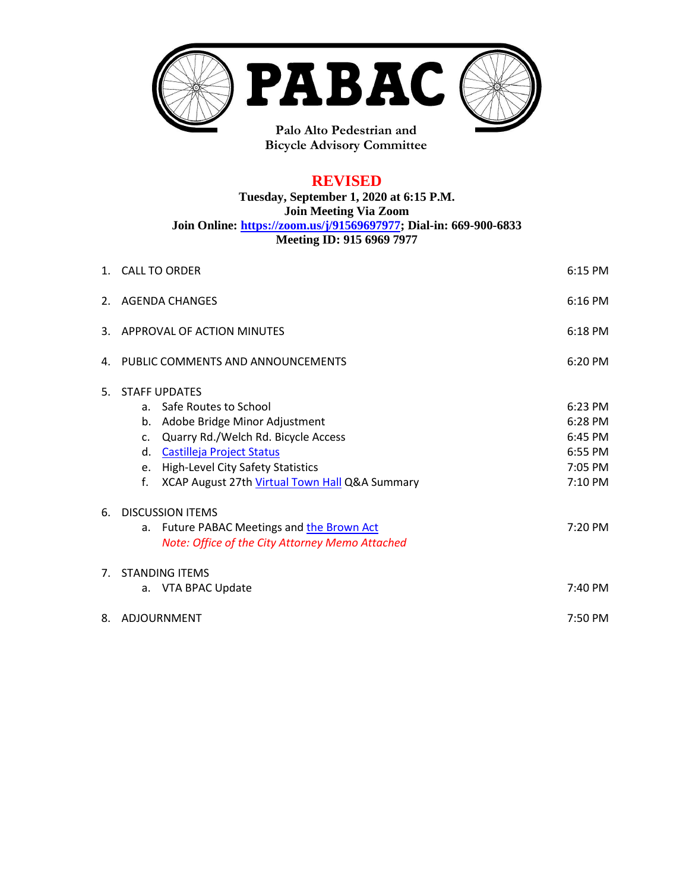

**Bicycle Advisory Committee**

# **REVISED**

**Tuesday, September 1, 2020 at 6:15 P.M. Join Meeting Via Zoom Join Online: [https://zoom.us/j/91569697977;](https://zoom.us/j/91569697977) Dial-in: 669-900-6833 Meeting ID: 915 6969 7977**

|                | 1. CALL TO ORDER<br>6:15 PM                                                                                                                                                                                                                                                          |                                                                |  |
|----------------|--------------------------------------------------------------------------------------------------------------------------------------------------------------------------------------------------------------------------------------------------------------------------------------|----------------------------------------------------------------|--|
|                | 6:16 PM<br>2. AGENDA CHANGES                                                                                                                                                                                                                                                         |                                                                |  |
|                | 3. APPROVAL OF ACTION MINUTES<br>6:18 PM                                                                                                                                                                                                                                             |                                                                |  |
|                | 4. PUBLIC COMMENTS AND ANNOUNCEMENTS<br>6:20 PM                                                                                                                                                                                                                                      |                                                                |  |
| 5.             | <b>STAFF UPDATES</b><br>Safe Routes to School<br>a.<br>Adobe Bridge Minor Adjustment<br>b.<br>Quarry Rd./Welch Rd. Bicycle Access<br>c.<br>Castilleja Project Status<br>d.<br><b>High-Level City Safety Statistics</b><br>e.<br>XCAP August 27th Virtual Town Hall Q&A Summary<br>f. | 6:23 PM<br>6:28 PM<br>6:45 PM<br>6:55 PM<br>7:05 PM<br>7:10 PM |  |
| 6.             | <b>DISCUSSION ITEMS</b><br>Future PABAC Meetings and the Brown Act<br>a.<br>Note: Office of the City Attorney Memo Attached                                                                                                                                                          | 7:20 PM                                                        |  |
| 7 <sup>1</sup> | <b>STANDING ITEMS</b><br>a. VTA BPAC Update                                                                                                                                                                                                                                          | 7:40 PM                                                        |  |
|                | 7:50 PM<br>8. ADJOURNMENT                                                                                                                                                                                                                                                            |                                                                |  |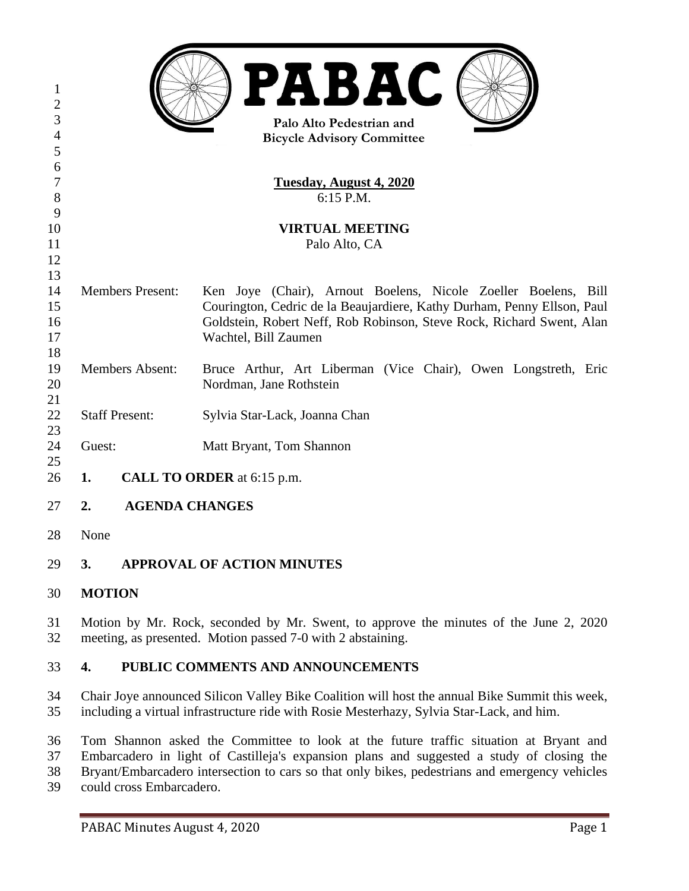|                |                                         | <b>PABAC</b>                                                            |  |
|----------------|-----------------------------------------|-------------------------------------------------------------------------|--|
| $\mathbf{1}$   |                                         |                                                                         |  |
| $\overline{2}$ |                                         |                                                                         |  |
| 3              | Palo Alto Pedestrian and                |                                                                         |  |
| $\overline{4}$ | <b>Bicycle Advisory Committee</b>       |                                                                         |  |
| 5              |                                         |                                                                         |  |
| 6              |                                         |                                                                         |  |
| 7              | <b>Tuesday, August 4, 2020</b>          |                                                                         |  |
| 8              | 6:15 P.M.                               |                                                                         |  |
| 9              |                                         |                                                                         |  |
| 10             | <b>VIRTUAL MEETING</b>                  |                                                                         |  |
| 11             | Palo Alto, CA                           |                                                                         |  |
| 12             |                                         |                                                                         |  |
| 13             |                                         |                                                                         |  |
| 14             | <b>Members Present:</b>                 | Ken Joye (Chair), Arnout Boelens, Nicole Zoeller Boelens, Bill          |  |
| 15             |                                         | Courington, Cedric de la Beaujardiere, Kathy Durham, Penny Ellson, Paul |  |
| 16             |                                         | Goldstein, Robert Neff, Rob Robinson, Steve Rock, Richard Swent, Alan   |  |
| 17             |                                         | Wachtel, Bill Zaumen                                                    |  |
| 18             |                                         |                                                                         |  |
| 19             | <b>Members Absent:</b>                  | Bruce Arthur, Art Liberman (Vice Chair), Owen Longstreth, Eric          |  |
| 20             |                                         | Nordman, Jane Rothstein                                                 |  |
| 21             |                                         |                                                                         |  |
| 22             | <b>Staff Present:</b>                   | Sylvia Star-Lack, Joanna Chan                                           |  |
| 23             |                                         |                                                                         |  |
| 24             | Guest:                                  | Matt Bryant, Tom Shannon                                                |  |
| 25             |                                         |                                                                         |  |
| 26             | <b>CALL TO ORDER</b> at 6:15 p.m.<br>1. |                                                                         |  |
| 27             | <b>AGENDA CHANGES</b><br>2.             |                                                                         |  |
|                |                                         |                                                                         |  |

None

# **3. APPROVAL OF ACTION MINUTES**

- **MOTION**
- Motion by Mr. Rock, seconded by Mr. Swent, to approve the minutes of the June 2, 2020 meeting, as presented. Motion passed 7-0 with 2 abstaining.

# **4. PUBLIC COMMENTS AND ANNOUNCEMENTS**

- Chair Joye announced Silicon Valley Bike Coalition will host the annual Bike Summit this week, including a virtual infrastructure ride with Rosie Mesterhazy, Sylvia Star-Lack, and him.
- Tom Shannon asked the Committee to look at the future traffic situation at Bryant and Embarcadero in light of Castilleja's expansion plans and suggested a study of closing the Bryant/Embarcadero intersection to cars so that only bikes, pedestrians and emergency vehicles
- could cross Embarcadero.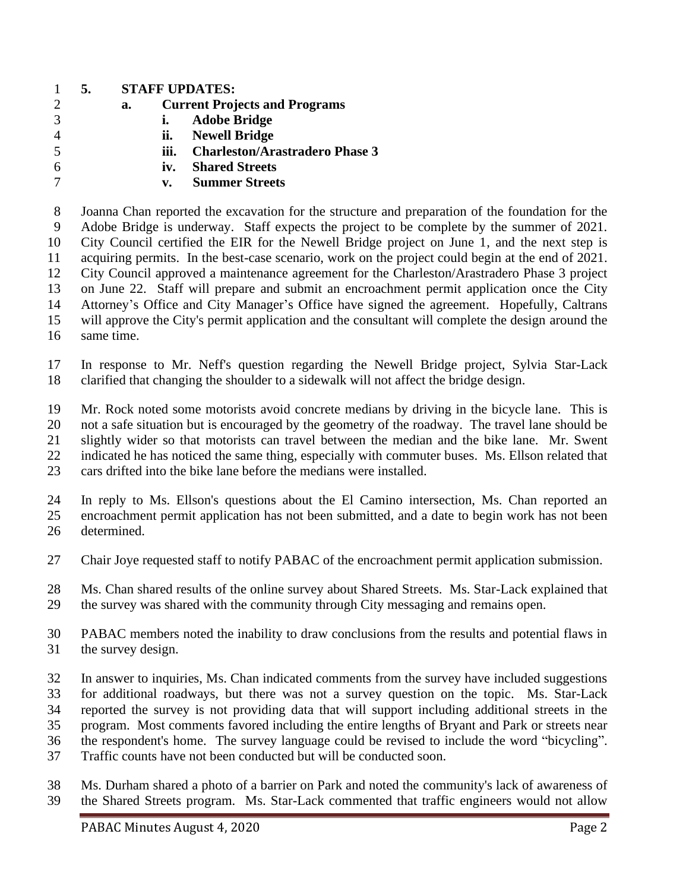# **5. STAFF UPDATES:**

- **a. Current Projects and Programs i. Adobe Bridge ii. Newell Bridge**
- **iii. Charleston/Arastradero Phase 3**
- **iv. Shared Streets**

# **v. Summer Streets**

 Joanna Chan reported the excavation for the structure and preparation of the foundation for the Adobe Bridge is underway. Staff expects the project to be complete by the summer of 2021. City Council certified the EIR for the Newell Bridge project on June 1, and the next step is acquiring permits. In the best-case scenario, work on the project could begin at the end of 2021. City Council approved a maintenance agreement for the Charleston/Arastradero Phase 3 project on June 22. Staff will prepare and submit an encroachment permit application once the City Attorney's Office and City Manager's Office have signed the agreement. Hopefully, Caltrans will approve the City's permit application and the consultant will complete the design around the same time.

 In response to Mr. Neff's question regarding the Newell Bridge project, Sylvia Star-Lack clarified that changing the shoulder to a sidewalk will not affect the bridge design.

Mr. Rock noted some motorists avoid concrete medians by driving in the bicycle lane. This is

 not a safe situation but is encouraged by the geometry of the roadway. The travel lane should be slightly wider so that motorists can travel between the median and the bike lane. Mr. Swent

indicated he has noticed the same thing, especially with commuter buses. Ms. Ellson related that

cars drifted into the bike lane before the medians were installed.

 In reply to Ms. Ellson's questions about the El Camino intersection, Ms. Chan reported an encroachment permit application has not been submitted, and a date to begin work has not been determined.

- Chair Joye requested staff to notify PABAC of the encroachment permit application submission.
- Ms. Chan shared results of the online survey about Shared Streets. Ms. Star-Lack explained that the survey was shared with the community through City messaging and remains open.
- PABAC members noted the inability to draw conclusions from the results and potential flaws in the survey design.
- In answer to inquiries, Ms. Chan indicated comments from the survey have included suggestions for additional roadways, but there was not a survey question on the topic. Ms. Star-Lack reported the survey is not providing data that will support including additional streets in the program. Most comments favored including the entire lengths of Bryant and Park or streets near the respondent's home. The survey language could be revised to include the word "bicycling". Traffic counts have not been conducted but will be conducted soon.
- Ms. Durham shared a photo of a barrier on Park and noted the community's lack of awareness of the Shared Streets program. Ms. Star-Lack commented that traffic engineers would not allow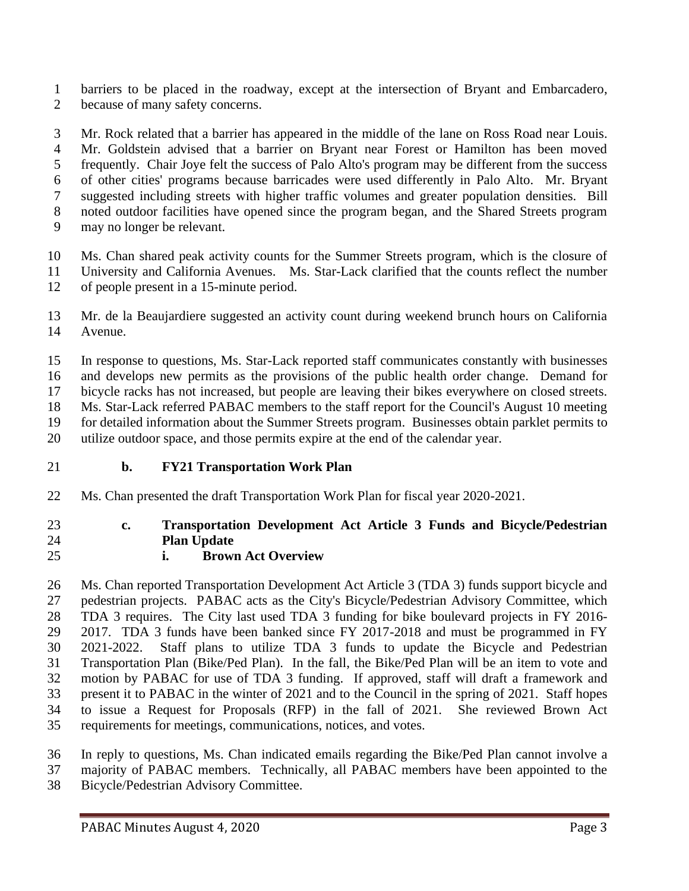barriers to be placed in the roadway, except at the intersection of Bryant and Embarcadero, because of many safety concerns.

 Mr. Rock related that a barrier has appeared in the middle of the lane on Ross Road near Louis. Mr. Goldstein advised that a barrier on Bryant near Forest or Hamilton has been moved frequently. Chair Joye felt the success of Palo Alto's program may be different from the success of other cities' programs because barricades were used differently in Palo Alto. Mr. Bryant suggested including streets with higher traffic volumes and greater population densities. Bill noted outdoor facilities have opened since the program began, and the Shared Streets program may no longer be relevant.

 Ms. Chan shared peak activity counts for the Summer Streets program, which is the closure of University and California Avenues. Ms. Star-Lack clarified that the counts reflect the number

of people present in a 15-minute period.

 Mr. de la Beaujardiere suggested an activity count during weekend brunch hours on California Avenue.

 In response to questions, Ms. Star-Lack reported staff communicates constantly with businesses and develops new permits as the provisions of the public health order change. Demand for bicycle racks has not increased, but people are leaving their bikes everywhere on closed streets. Ms. Star-Lack referred PABAC members to the staff report for the Council's August 10 meeting for detailed information about the Summer Streets program. Businesses obtain parklet permits to

utilize outdoor space, and those permits expire at the end of the calendar year.

- **b. FY21 Transportation Work Plan**
- Ms. Chan presented the draft Transportation Work Plan for fiscal year 2020-2021.

# **c. Transportation Development Act Article 3 Funds and Bicycle/Pedestrian Plan Update**

**i. Brown Act Overview**

 Ms. Chan reported Transportation Development Act Article 3 (TDA 3) funds support bicycle and pedestrian projects. PABAC acts as the City's Bicycle/Pedestrian Advisory Committee, which TDA 3 requires. The City last used TDA 3 funding for bike boulevard projects in FY 2016- 2017. TDA 3 funds have been banked since FY 2017-2018 and must be programmed in FY 2021-2022. Staff plans to utilize TDA 3 funds to update the Bicycle and Pedestrian Transportation Plan (Bike/Ped Plan). In the fall, the Bike/Ped Plan will be an item to vote and motion by PABAC for use of TDA 3 funding. If approved, staff will draft a framework and present it to PABAC in the winter of 2021 and to the Council in the spring of 2021. Staff hopes to issue a Request for Proposals (RFP) in the fall of 2021. She reviewed Brown Act requirements for meetings, communications, notices, and votes.

In reply to questions, Ms. Chan indicated emails regarding the Bike/Ped Plan cannot involve a

- majority of PABAC members. Technically, all PABAC members have been appointed to the
- Bicycle/Pedestrian Advisory Committee.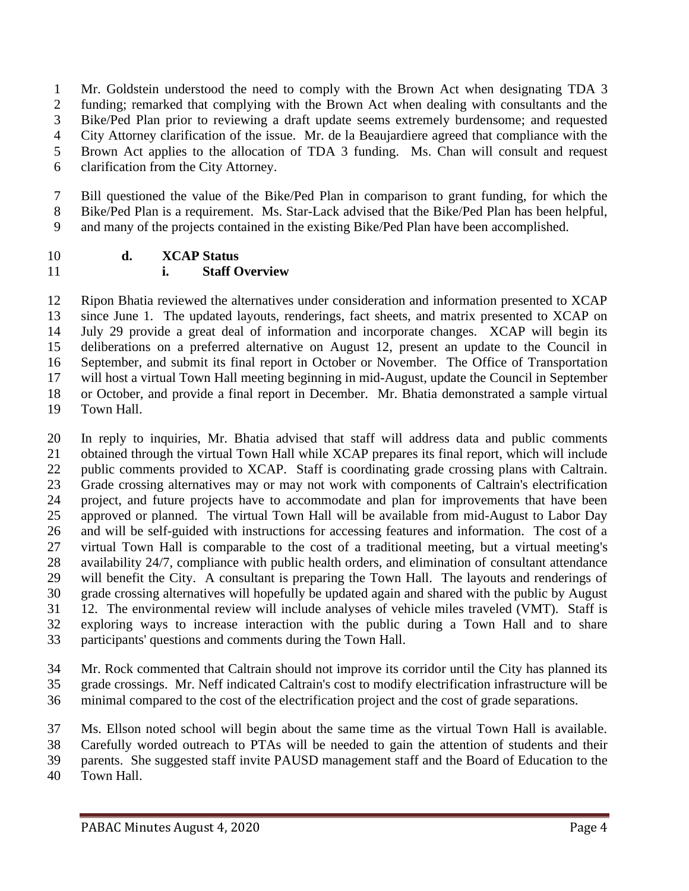Mr. Goldstein understood the need to comply with the Brown Act when designating TDA 3 funding; remarked that complying with the Brown Act when dealing with consultants and the Bike/Ped Plan prior to reviewing a draft update seems extremely burdensome; and requested City Attorney clarification of the issue. Mr. de la Beaujardiere agreed that compliance with the Brown Act applies to the allocation of TDA 3 funding. Ms. Chan will consult and request clarification from the City Attorney.

 Bill questioned the value of the Bike/Ped Plan in comparison to grant funding, for which the Bike/Ped Plan is a requirement. Ms. Star-Lack advised that the Bike/Ped Plan has been helpful, and many of the projects contained in the existing Bike/Ped Plan have been accomplished.

## **d. XCAP Status i. Staff Overview**

 Ripon Bhatia reviewed the alternatives under consideration and information presented to XCAP since June 1. The updated layouts, renderings, fact sheets, and matrix presented to XCAP on July 29 provide a great deal of information and incorporate changes. XCAP will begin its deliberations on a preferred alternative on August 12, present an update to the Council in September, and submit its final report in October or November. The Office of Transportation will host a virtual Town Hall meeting beginning in mid-August, update the Council in September or October, and provide a final report in December. Mr. Bhatia demonstrated a sample virtual Town Hall.

 In reply to inquiries, Mr. Bhatia advised that staff will address data and public comments obtained through the virtual Town Hall while XCAP prepares its final report, which will include public comments provided to XCAP. Staff is coordinating grade crossing plans with Caltrain. Grade crossing alternatives may or may not work with components of Caltrain's electrification project, and future projects have to accommodate and plan for improvements that have been approved or planned. The virtual Town Hall will be available from mid-August to Labor Day and will be self-guided with instructions for accessing features and information. The cost of a virtual Town Hall is comparable to the cost of a traditional meeting, but a virtual meeting's availability 24/7, compliance with public health orders, and elimination of consultant attendance will benefit the City. A consultant is preparing the Town Hall. The layouts and renderings of grade crossing alternatives will hopefully be updated again and shared with the public by August 12. The environmental review will include analyses of vehicle miles traveled (VMT). Staff is exploring ways to increase interaction with the public during a Town Hall and to share participants' questions and comments during the Town Hall.

 Mr. Rock commented that Caltrain should not improve its corridor until the City has planned its grade crossings. Mr. Neff indicated Caltrain's cost to modify electrification infrastructure will be minimal compared to the cost of the electrification project and the cost of grade separations.

 Ms. Ellson noted school will begin about the same time as the virtual Town Hall is available. Carefully worded outreach to PTAs will be needed to gain the attention of students and their parents. She suggested staff invite PAUSD management staff and the Board of Education to the

Town Hall.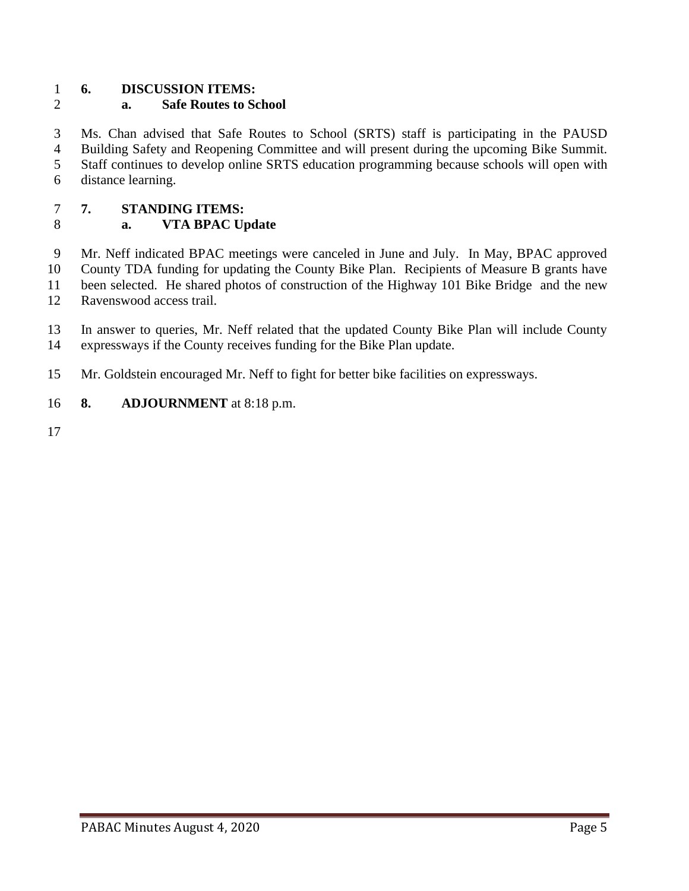# **6. DISCUSSION ITEMS:**

# **a. Safe Routes to School**

 Ms. Chan advised that Safe Routes to School (SRTS) staff is participating in the PAUSD Building Safety and Reopening Committee and will present during the upcoming Bike Summit. Staff continues to develop online SRTS education programming because schools will open with distance learning.

## **7. STANDING ITEMS:**

# **a. VTA BPAC Update**

 Mr. Neff indicated BPAC meetings were canceled in June and July. In May, BPAC approved County TDA funding for updating the County Bike Plan. Recipients of Measure B grants have been selected. He shared photos of construction of the Highway 101 Bike Bridge and the new Ravenswood access trail.

 In answer to queries, Mr. Neff related that the updated County Bike Plan will include County expressways if the County receives funding for the Bike Plan update.

Mr. Goldstein encouraged Mr. Neff to fight for better bike facilities on expressways.

## **8. ADJOURNMENT** at 8:18 p.m.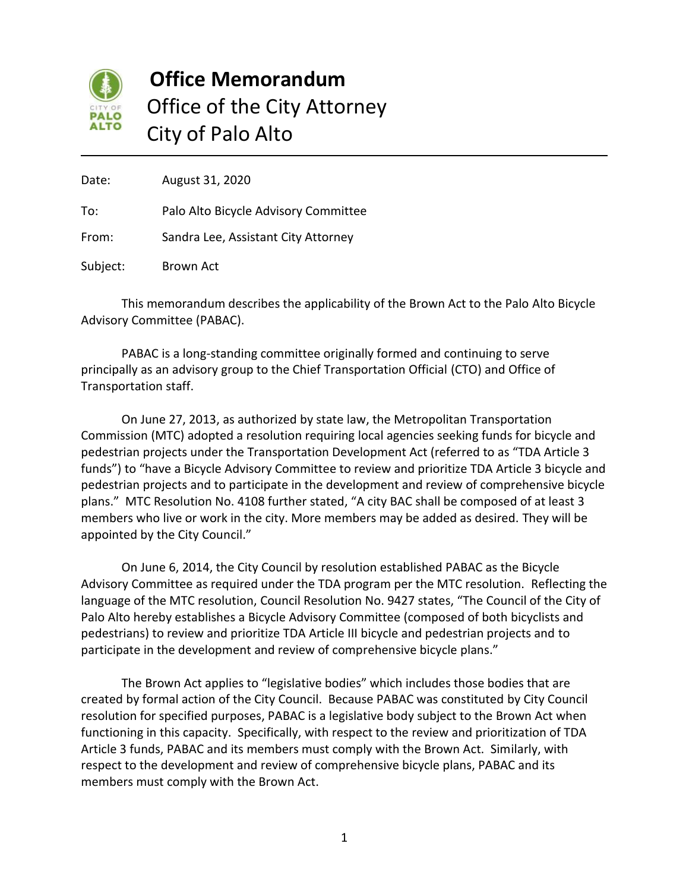

# **Office Memorandum** Office of the City Attorney City of Palo Alto

Date: August 31, 2020 To: Palo Alto Bicycle Advisory Committee From: Sandra Lee, Assistant City Attorney Subject: Brown Act

This memorandum describes the applicability of the Brown Act to the Palo Alto Bicycle Advisory Committee (PABAC).

PABAC is a long-standing committee originally formed and continuing to serve principally as an advisory group to the Chief Transportation Official (CTO) and Office of Transportation staff.

On June 27, 2013, as authorized by state law, the Metropolitan Transportation Commission (MTC) adopted a resolution requiring local agencies seeking funds for bicycle and pedestrian projects under the Transportation Development Act (referred to as "TDA Article 3 funds") to "have a Bicycle Advisory Committee to review and prioritize TDA Article 3 bicycle and pedestrian projects and to participate in the development and review of comprehensive bicycle plans." MTC Resolution No. 4108 further stated, "A city BAC shall be composed of at least 3 members who live or work in the city. More members may be added as desired. They will be appointed by the City Council."

On June 6, 2014, the City Council by resolution established PABAC as the Bicycle Advisory Committee as required under the TDA program per the MTC resolution. Reflecting the language of the MTC resolution, Council Resolution No. 9427 states, "The Council of the City of Palo Alto hereby establishes a Bicycle Advisory Committee (composed of both bicyclists and pedestrians) to review and prioritize TDA Article III bicycle and pedestrian projects and to participate in the development and review of comprehensive bicycle plans."

The Brown Act applies to "legislative bodies" which includes those bodies that are created by formal action of the City Council. Because PABAC was constituted by City Council resolution for specified purposes, PABAC is a legislative body subject to the Brown Act when functioning in this capacity. Specifically, with respect to the review and prioritization of TDA Article 3 funds, PABAC and its members must comply with the Brown Act. Similarly, with respect to the development and review of comprehensive bicycle plans, PABAC and its members must comply with the Brown Act.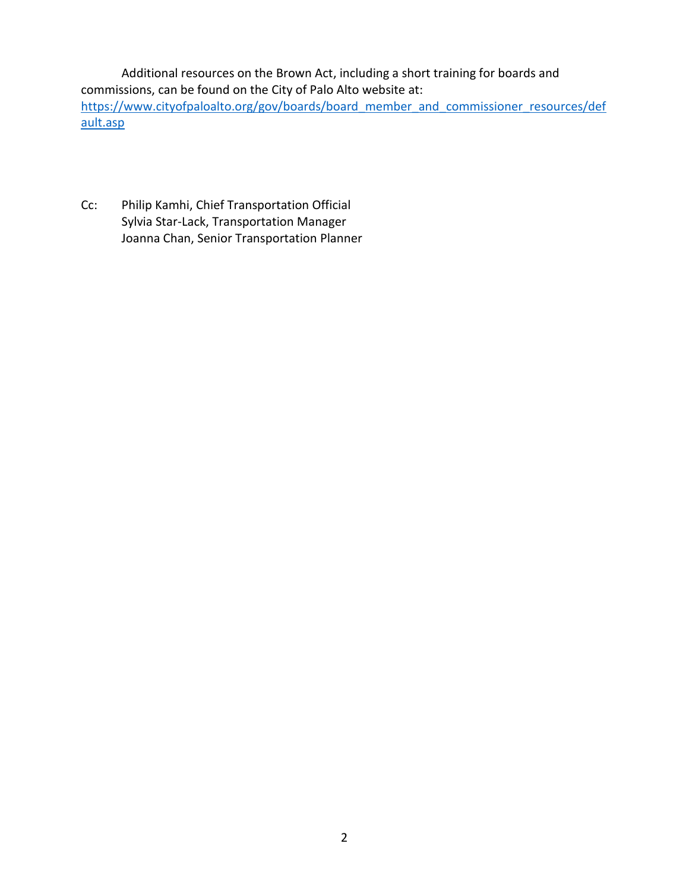Additional resources on the Brown Act, including a short training for boards and commissions, can be found on the City of Palo Alto website at: [https://www.cityofpaloalto.org/gov/boards/board\\_member\\_and\\_commissioner\\_resources/def](https://www.cityofpaloalto.org/gov/boards/board_member_and_commissioner_resources/default.asp) [ault.asp](https://www.cityofpaloalto.org/gov/boards/board_member_and_commissioner_resources/default.asp)

Cc: Philip Kamhi, Chief Transportation Official Sylvia Star-Lack, Transportation Manager Joanna Chan, Senior Transportation Planner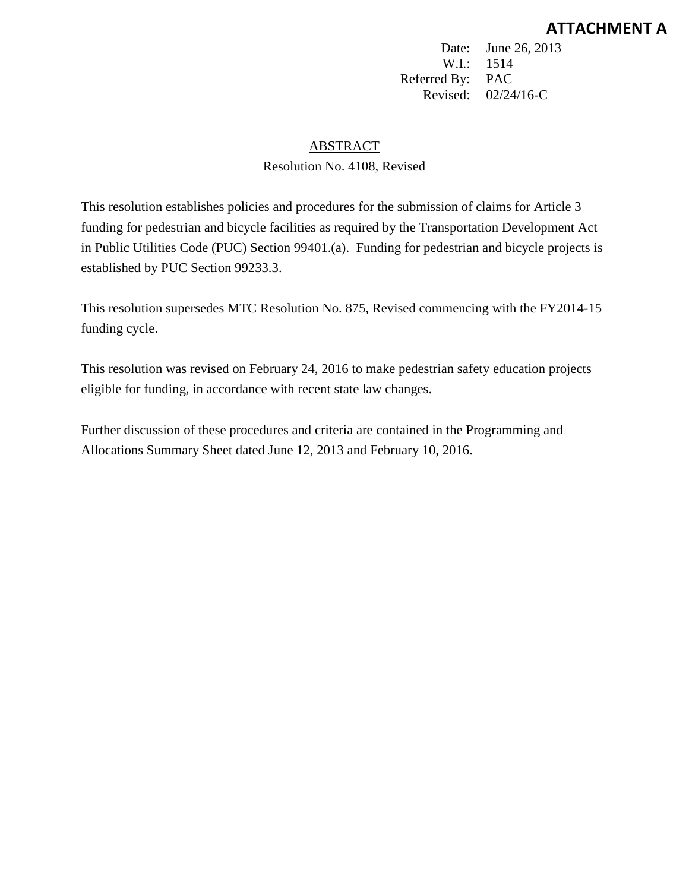Date: June 26, 2013 W.I.: 1514 Referred By: PAC Revised: 02/24/16-C

## ABSTRACT

## Resolution No. 4108, Revised

This resolution establishes policies and procedures for the submission of claims for Article 3 funding for pedestrian and bicycle facilities as required by the Transportation Development Act in Public Utilities Code (PUC) Section 99401.(a). Funding for pedestrian and bicycle projects is established by PUC Section 99233.3.

This resolution supersedes MTC Resolution No. 875, Revised commencing with the FY2014-15 funding cycle.

This resolution was revised on February 24, 2016 to make pedestrian safety education projects eligible for funding, in accordance with recent state law changes.

Further discussion of these procedures and criteria are contained in the Programming and Allocations Summary Sheet dated June 12, 2013 and February 10, 2016.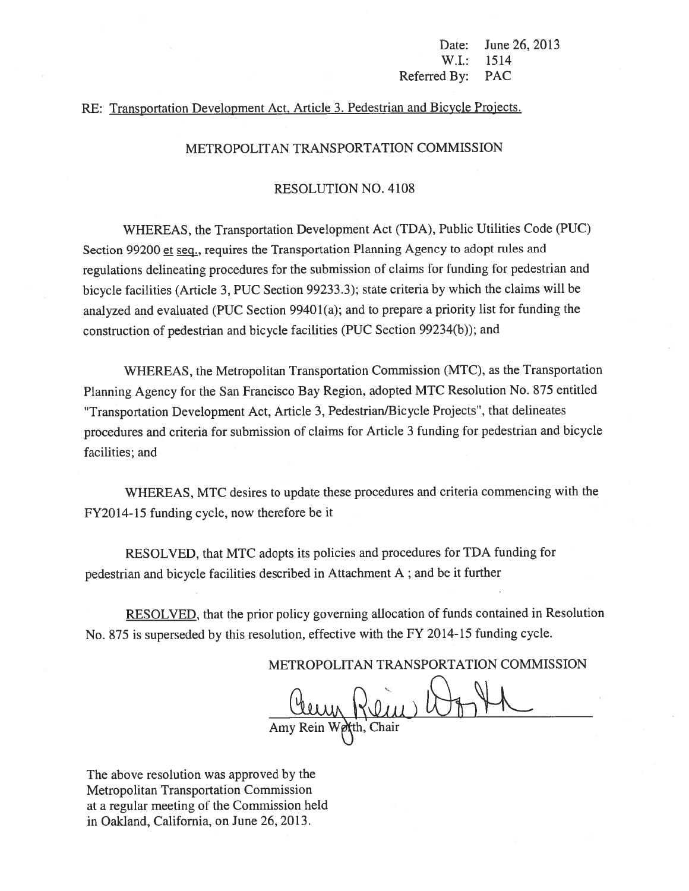Date: June 26, 2013 W.I.: 1514 Referred By: PAC

## RE: Transportation Development Act, Article 3. Pedestrian and Bicycle Projects.

#### METROPOLITAN TRANSPORTATION COMMISSION

#### RESOLUTION NO. 4108

WHEREAS, the Transportation Development Act (TDA), Public Utilities Code (PUC) Section 99200 et seq., requires the Transportation Planning Agency to adopt rules and regulations delineating procedures for the submission of claims for funding for pedestrian and bicycle facilities (Article 3, PUC Section 99233.3); state criteria by which the claims will be analyzed and evaluated (PUC Section <sup>9940</sup> 1(a); and to prepare <sup>a</sup> priority list for funding the construction of pedestrian and bicycle facilities (PUC Section 99234(b)); and

WHEREAS, the Metropolitan Transportation Commission (MTC), as the Transportation Planning Agency for the San Francisco Bay Region, adopted MTC Resolution No. <sup>875</sup> entitled 'Transportation Development Act, Article 3, Pedestrian/Bicycle Projects', that delineates procedures and criteria for submission of claims for Article <sup>3</sup> funding for pedestrian and bicycle facilities; and

WHEREAS, MTC desires to update these procedures and criteria commencing with the FY2014-15 funding cycle, now therefore be it

RESOLVED, that MTC adopts its policies and procedures for TDA funding for pedestrian and bicycle facilities described in Attachment <sup>A</sup> ; and be it further

RESOLVED, that the prior policy governing allocation of funds contained in Resolution No. <sup>875</sup> is superseded by this resolution, effective with the FY <sup>20</sup> 14-15 funding cycle.

METROPOLITAN TRANSPORTATION COMMISSION

JLtj Amy Rein We**X**th, Chair

The above resolution was approved by the Metropolitan Transportation Commission at <sup>a</sup> regular meeting of the Commission held in Oakland, California, on June 26, 2013.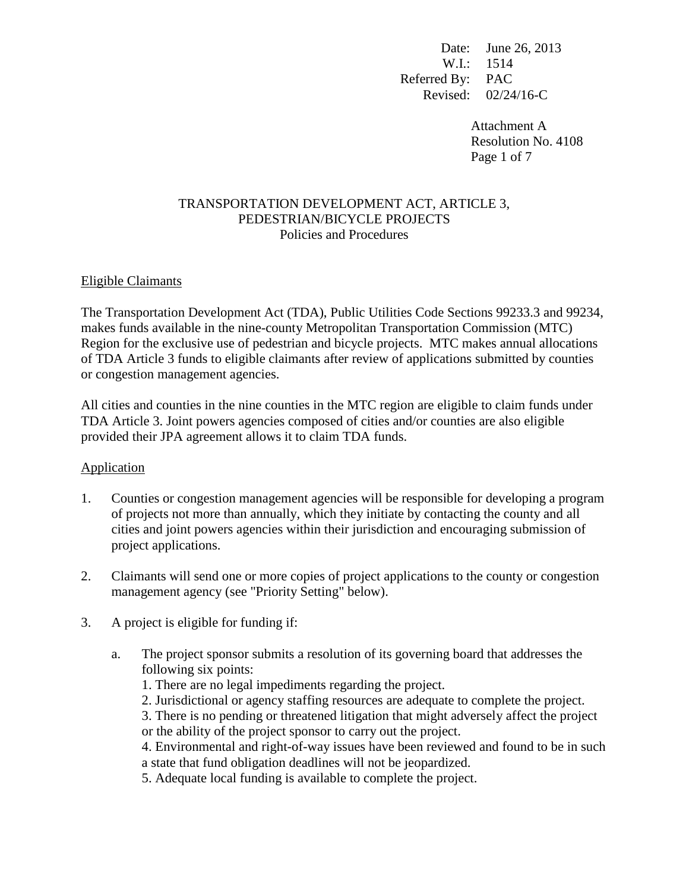Date: June 26, 2013 W.I.: 1514 Referred By: PAC Revised: 02/24/16-C

> Attachment A Resolution No. 4108 Page 1 of 7

### TRANSPORTATION DEVELOPMENT ACT, ARTICLE 3, PEDESTRIAN/BICYCLE PROJECTS Policies and Procedures

## Eligible Claimants

The Transportation Development Act (TDA), Public Utilities Code Sections 99233.3 and 99234, makes funds available in the nine-county Metropolitan Transportation Commission (MTC) Region for the exclusive use of pedestrian and bicycle projects. MTC makes annual allocations of TDA Article 3 funds to eligible claimants after review of applications submitted by counties or congestion management agencies.

All cities and counties in the nine counties in the MTC region are eligible to claim funds under TDA Article 3. Joint powers agencies composed of cities and/or counties are also eligible provided their JPA agreement allows it to claim TDA funds.

### Application

- 1. Counties or congestion management agencies will be responsible for developing a program of projects not more than annually, which they initiate by contacting the county and all cities and joint powers agencies within their jurisdiction and encouraging submission of project applications.
- 2. Claimants will send one or more copies of project applications to the county or congestion management agency (see "Priority Setting" below).
- 3. A project is eligible for funding if:
	- a. The project sponsor submits a resolution of its governing board that addresses the following six points:
		- 1. There are no legal impediments regarding the project.
		- 2. Jurisdictional or agency staffing resources are adequate to complete the project.
		- 3. There is no pending or threatened litigation that might adversely affect the project or the ability of the project sponsor to carry out the project.

4. Environmental and right-of-way issues have been reviewed and found to be in such a state that fund obligation deadlines will not be jeopardized.

5. Adequate local funding is available to complete the project.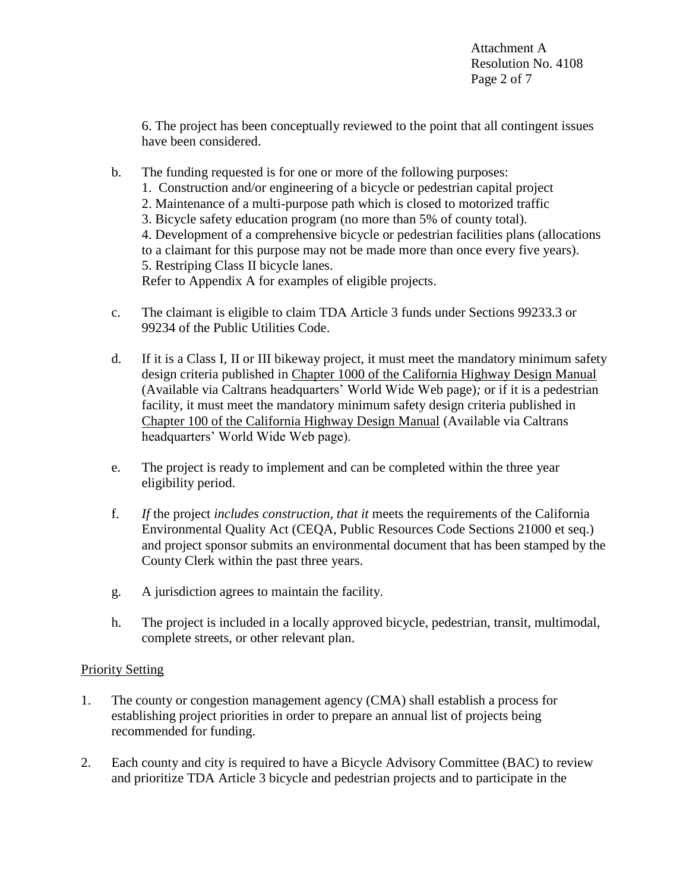6. The project has been conceptually reviewed to the point that all contingent issues have been considered.

- b. The funding requested is for one or more of the following purposes:
	- 1. Construction and/or engineering of a bicycle or pedestrian capital project
	- 2. Maintenance of a multi-purpose path which is closed to motorized traffic
	- 3. Bicycle safety education program (no more than 5% of county total).

4. Development of a comprehensive bicycle or pedestrian facilities plans (allocations to a claimant for this purpose may not be made more than once every five years). 5. Restriping Class II bicycle lanes.

Refer to Appendix A for examples of eligible projects.

- c. The claimant is eligible to claim TDA Article 3 funds under Sections 99233.3 or 99234 of the Public Utilities Code.
- d. If it is a Class I*,* II or III bikeway project, it must meet the mandatory minimum safety design criteria published in Chapter 1000 of the California Highway Design Manual (Available via Caltrans headquarters' World Wide Web page)*;* or if it is a pedestrian facility, it must meet the mandatory minimum safety design criteria published in Chapter 100 of the California Highway Design Manual (Available via Caltrans headquarters' World Wide Web page).
- e. The project is ready to implement and can be completed within the three year eligibility period.
- f. *If* the project *includes construction, that it* meets the requirements of the California Environmental Quality Act (CEQA, Public Resources Code Sections 21000 et seq.) and project sponsor submits an environmental document that has been stamped by the County Clerk within the past three years.
- g. A jurisdiction agrees to maintain the facility.
- h. The project is included in a locally approved bicycle, pedestrian, transit, multimodal, complete streets, or other relevant plan.

# Priority Setting

- 1. The county or congestion management agency (CMA) shall establish a process for establishing project priorities in order to prepare an annual list of projects being recommended for funding.
- 2. Each county and city is required to have a Bicycle Advisory Committee (BAC) to review and prioritize TDA Article 3 bicycle and pedestrian projects and to participate in the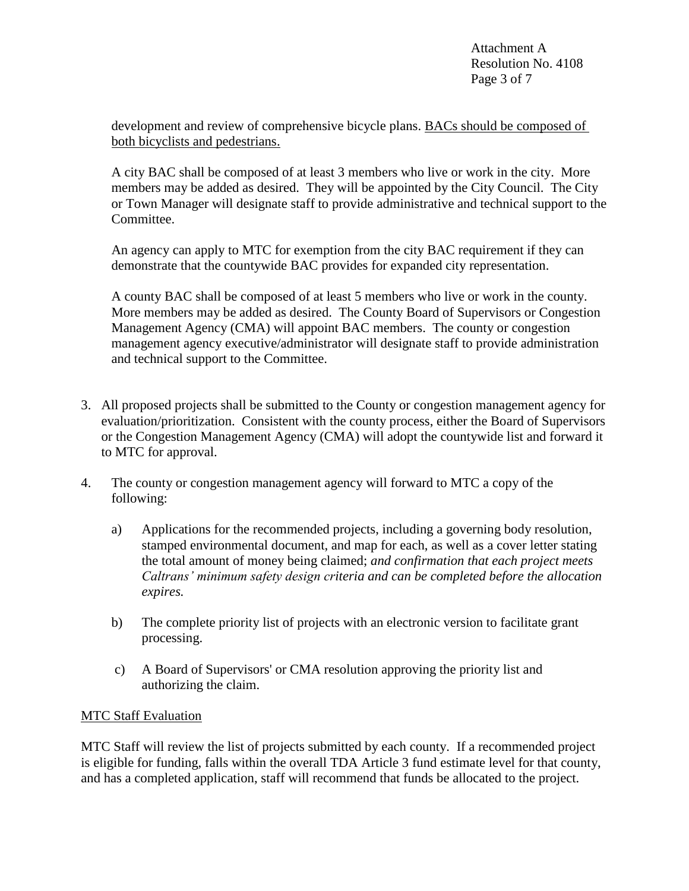development and review of comprehensive bicycle plans. BACs should be composed of both bicyclists and pedestrians.

A city BAC shall be composed of at least 3 members who live or work in the city. More members may be added as desired. They will be appointed by the City Council. The City or Town Manager will designate staff to provide administrative and technical support to the Committee.

An agency can apply to MTC for exemption from the city BAC requirement if they can demonstrate that the countywide BAC provides for expanded city representation.

A county BAC shall be composed of at least 5 members who live or work in the county. More members may be added as desired. The County Board of Supervisors or Congestion Management Agency (CMA) will appoint BAC members. The county or congestion management agency executive/administrator will designate staff to provide administration and technical support to the Committee.

- 3. All proposed projects shall be submitted to the County or congestion management agency for evaluation/prioritization. Consistent with the county process, either the Board of Supervisors or the Congestion Management Agency (CMA) will adopt the countywide list and forward it to MTC for approval.
- 4. The county or congestion management agency will forward to MTC a copy of the following:
	- a) Applications for the recommended projects, including a governing body resolution, stamped environmental document, and map for each, as well as a cover letter stating the total amount of money being claimed; *and confirmation that each project meets Caltrans' minimum safety design criteria and can be completed before the allocation expires.*
	- b) The complete priority list of projects with an electronic version to facilitate grant processing.
	- c) A Board of Supervisors' or CMA resolution approving the priority list and authorizing the claim.

## MTC Staff Evaluation

MTC Staff will review the list of projects submitted by each county. If a recommended project is eligible for funding, falls within the overall TDA Article 3 fund estimate level for that county, and has a completed application, staff will recommend that funds be allocated to the project.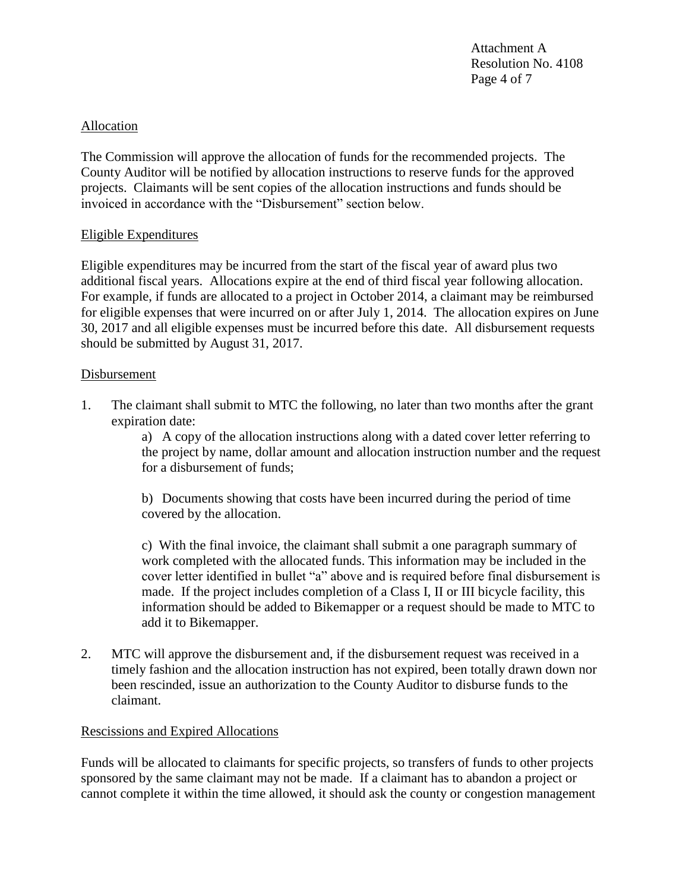Attachment A Resolution No. 4108 Page 4 of 7

### Allocation

The Commission will approve the allocation of funds for the recommended projects. The County Auditor will be notified by allocation instructions to reserve funds for the approved projects. Claimants will be sent copies of the allocation instructions and funds should be invoiced in accordance with the "Disbursement" section below.

#### Eligible Expenditures

Eligible expenditures may be incurred from the start of the fiscal year of award plus two additional fiscal years. Allocations expire at the end of third fiscal year following allocation. For example, if funds are allocated to a project in October 2014, a claimant may be reimbursed for eligible expenses that were incurred on or after July 1, 2014. The allocation expires on June 30, 2017 and all eligible expenses must be incurred before this date. All disbursement requests should be submitted by August 31, 2017.

#### **Disbursement**

1. The claimant shall submit to MTC the following, no later than two months after the grant expiration date:

> a) A copy of the allocation instructions along with a dated cover letter referring to the project by name*,* dollar amount and allocation instruction number and the request for a disbursement of funds;

b) Documents showing that costs have been incurred during the period of time covered by the allocation.

c) With the final invoice, the claimant shall submit a one paragraph summary of work completed with the allocated funds. This information may be included in the cover letter identified in bullet "a" above and is required before final disbursement is made. If the project includes completion of a Class I, II or III bicycle facility, this information should be added to Bikemapper or a request should be made to MTC to add it to Bikemapper.

2. MTC will approve the disbursement and, if the disbursement request was received in a timely fashion and the allocation instruction has not expired, been totally drawn down nor been rescinded, issue an authorization to the County Auditor to disburse funds to the claimant.

### Rescissions and Expired Allocations

Funds will be allocated to claimants for specific projects, so transfers of funds to other projects sponsored by the same claimant may not be made. If a claimant has to abandon a project or cannot complete it within the time allowed, it should ask the county or congestion management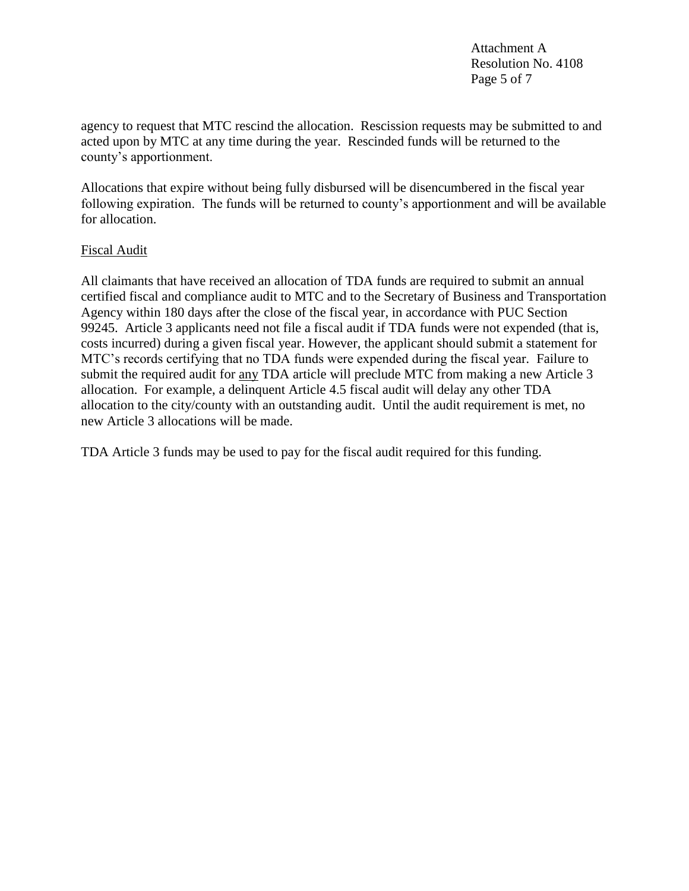Attachment A Resolution No. 4108 Page 5 of 7

agency to request that MTC rescind the allocation. Rescission requests may be submitted to and acted upon by MTC at any time during the year. Rescinded funds will be returned to the county's apportionment.

Allocations that expire without being fully disbursed will be disencumbered in the fiscal year following expiration. The funds will be returned to county's apportionment and will be available for allocation.

### Fiscal Audit

All claimants that have received an allocation of TDA funds are required to submit an annual certified fiscal and compliance audit to MTC and to the Secretary of Business and Transportation Agency within 180 days after the close of the fiscal year, in accordance with PUC Section 99245. Article 3 applicants need not file a fiscal audit if TDA funds were not expended (that is, costs incurred) during a given fiscal year. However, the applicant should submit a statement for MTC's records certifying that no TDA funds were expended during the fiscal year*.* Failure to submit the required audit for any TDA article will preclude MTC from making a new Article 3 allocation. For example, a delinquent Article 4.5 fiscal audit will delay any other TDA allocation to the city/county with an outstanding audit. Until the audit requirement is met, no new Article 3 allocations will be made.

TDA Article 3 funds may be used to pay for the fiscal audit required for this funding.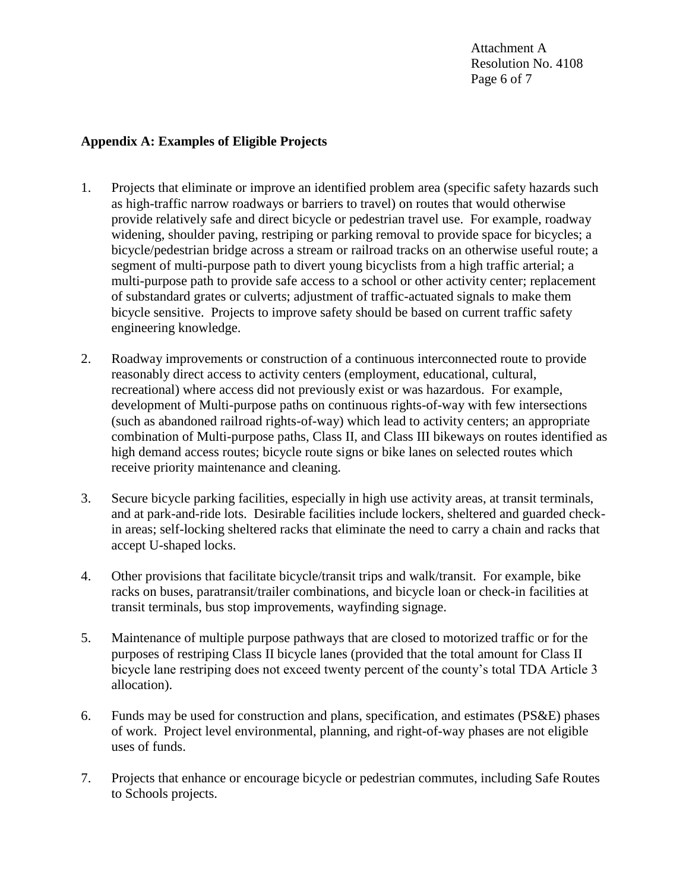Attachment A Resolution No. 4108 Page 6 of 7

## **Appendix A: Examples of Eligible Projects**

- 1. Projects that eliminate or improve an identified problem area (specific safety hazards such as high-traffic narrow roadways or barriers to travel) on routes that would otherwise provide relatively safe and direct bicycle or pedestrian travel use. For example, roadway widening, shoulder paving, restriping or parking removal to provide space for bicycles; a bicycle/pedestrian bridge across a stream or railroad tracks on an otherwise useful route; a segment of multi-purpose path to divert young bicyclists from a high traffic arterial; a multi-purpose path to provide safe access to a school or other activity center; replacement of substandard grates or culverts; adjustment of traffic-actuated signals to make them bicycle sensitive. Projects to improve safety should be based on current traffic safety engineering knowledge.
- 2. Roadway improvements or construction of a continuous interconnected route to provide reasonably direct access to activity centers (employment, educational, cultural, recreational) where access did not previously exist or was hazardous. For example, development of Multi-purpose paths on continuous rights-of-way with few intersections (such as abandoned railroad rights-of-way) which lead to activity centers; an appropriate combination of Multi-purpose paths, Class II, and Class III bikeways on routes identified as high demand access routes; bicycle route signs or bike lanes on selected routes which receive priority maintenance and cleaning.
- 3. Secure bicycle parking facilities, especially in high use activity areas, at transit terminals, and at park-and-ride lots. Desirable facilities include lockers, sheltered and guarded checkin areas; self-locking sheltered racks that eliminate the need to carry a chain and racks that accept U-shaped locks.
- 4. Other provisions that facilitate bicycle/transit trips and walk/transit. For example, bike racks on buses, paratransit/trailer combinations, and bicycle loan or check-in facilities at transit terminals, bus stop improvements, wayfinding signage.
- 5. Maintenance of multiple purpose pathways that are closed to motorized traffic or for the purposes of restriping Class II bicycle lanes (provided that the total amount for Class II bicycle lane restriping does not exceed twenty percent of the county's total TDA Article 3 allocation).
- 6. Funds may be used for construction and plans, specification, and estimates (PS&E) phases of work. Project level environmental, planning, and right-of-way phases are not eligible uses of funds.
- 7. Projects that enhance or encourage bicycle or pedestrian commutes, including Safe Routes to Schools projects.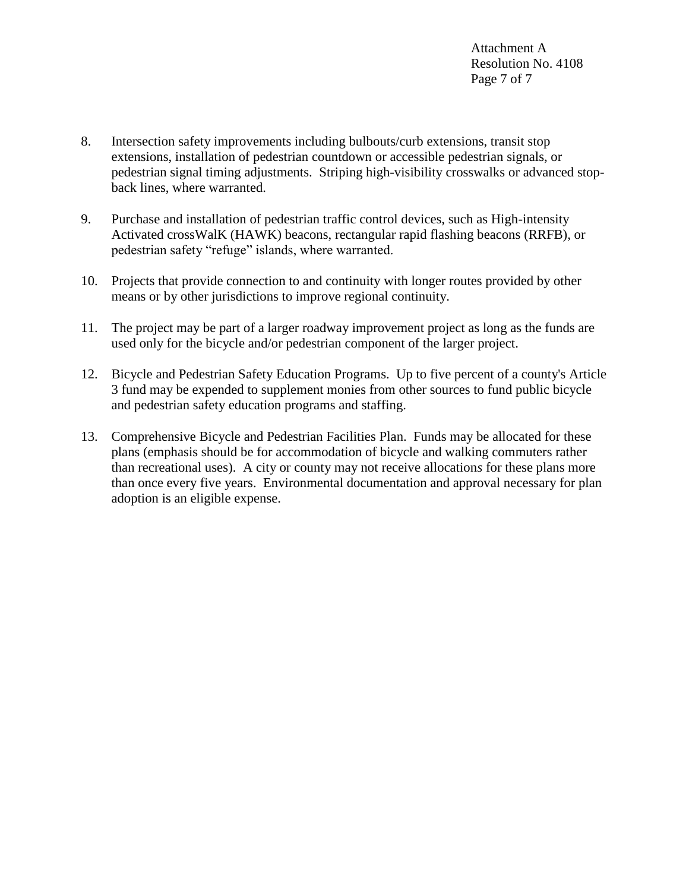- 8. Intersection safety improvements including bulbouts/curb extensions, transit stop extensions, installation of pedestrian countdown or accessible pedestrian signals, or pedestrian signal timing adjustments. Striping high-visibility crosswalks or advanced stopback lines, where warranted.
- 9. Purchase and installation of pedestrian traffic control devices, such as High-intensity Activated crossWalK (HAWK) beacons, rectangular rapid flashing beacons (RRFB), or pedestrian safety "refuge" islands, where warranted.
- 10. Projects that provide connection to and continuity with longer routes provided by other means or by other jurisdictions to improve regional continuity.
- 11. The project may be part of a larger roadway improvement project as long as the funds are used only for the bicycle and/or pedestrian component of the larger project.
- 12. Bicycle and Pedestrian Safety Education Programs. Up to five percent of a county's Article 3 fund may be expended to supplement monies from other sources to fund public bicycle and pedestrian safety education programs and staffing.
- 13. Comprehensive Bicycle and Pedestrian Facilities Plan. Funds may be allocated for these plans (emphasis should be for accommodation of bicycle and walking commuters rather than recreational uses). A city or county may not receive allocation*s* for these plans more than once every five years. Environmental documentation and approval necessary for plan adoption is an eligible expense.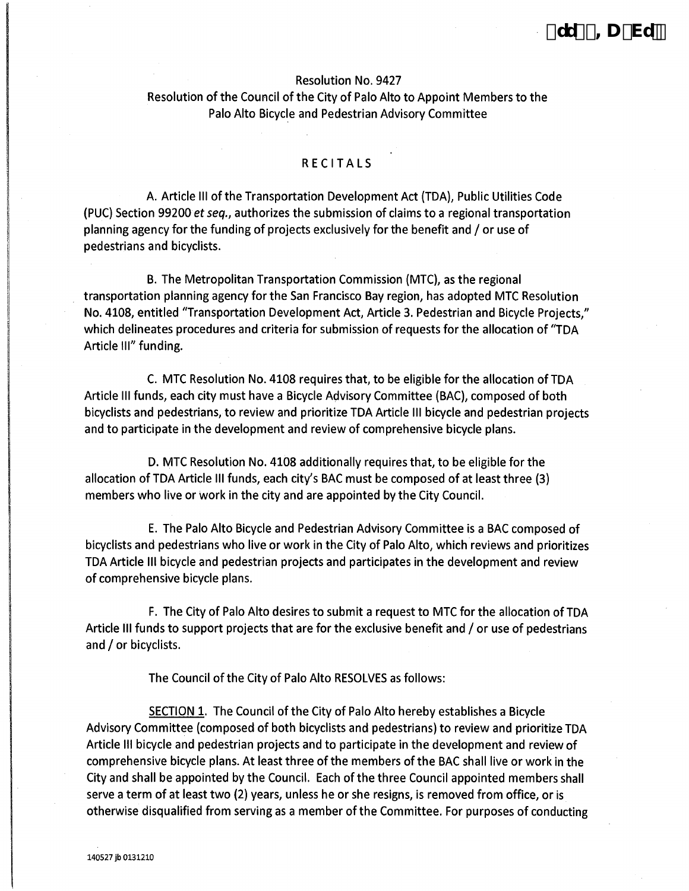## Resolution No. 9427 Resolution of the Council of the City of Palo Alto to Appoint Members to the Palo Alto Bicyde and Pedestrian Advisory Committee

#### RECITALS

A. Artide Ill of the Transportation Development Act (TDA), Public Utilities Code (PUC) Section 99200 *et seq.,* authorizes the submission of claims to a regional transportation planning agency for the funding of projects exclusively for the benefit and / or use of pedestrians and bicyclists.

B. The Metropolitan Transportation Commission (MTC), as the regional transportation planning agency for the San Francisco Bay region, has adopted MTC Resolution No. 4108, entitled "Transportation Development Act, Article 3. Pedestrian and Bicyde Projects," which delineates procedures and criteria for submission of requests for the allocation of "TDA Artide Ill" funding.

C. MTC Resolution No. 4108 requires that, to be eligible for the allocation of TDA Artide Ill funds, each city must have a Bicyde Advisory Committee (BAC), composed of both bicydists and pedestrians, to review and prioritize TDA Artide Ill bicycle and pedestrian projects and to participate in the development and review of comprehensive bicyde plans.

D. MTC Resolution No. 4108 additionally requires that, to be eligible for the allocation of TDA Artide Ill funds, each city's BAC must be composed of at least three (3) members who live or work in the city and are appointed by the City Council.

E. The Palo Alto Bicyde and Pedestrian Advisory Committee is a BAC composed of bicydists and pedestrians who live or work in the City of Palo Alto, which reviews and prioritizes TDA Artide Ill bicyde and pedestrian projects and participates in the development and review of comprehensive bicyde plans.

F. The City of Palo Alto desires to submit a request to MTC for the allocation of TDA Article III funds to support projects that are for the exclusive benefit and / or use of pedestrians and / or bicyclists.

The Council of the City of Palo Alto RESOLVES as follows:

SECTION 1. The Council of the City of Palo Alto hereby establishes a Bicycle Advisory Committee (composed of both bicyclists and pedestrians) to review and prioritize TDA Article Ill bicycle and pedestrian projects and to participate in the development and review of comprehensive bicycle plans. At least three of the members of the BAC shall live or work in the City and shall be appointed by the Council. Each of the three Council appointed members shall serve a term of at least two (2) years, unless he or she resigns, is removed from office, or is otherwise disqualified from serving as a member of the Committee. For purposes of conducting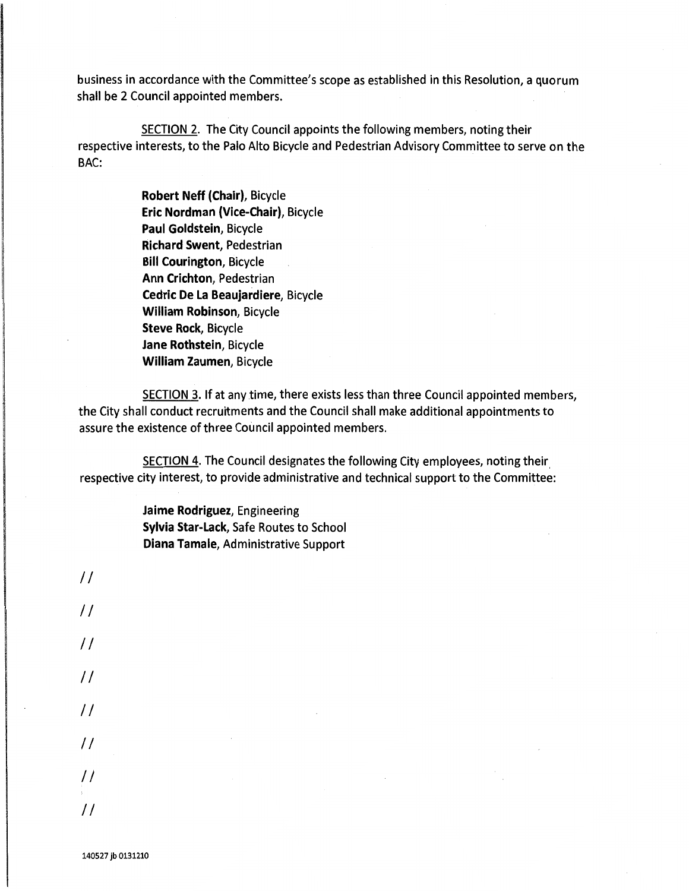business in accordance with the Committee's scope as established in this Resolution, a quorum shall be 2 Council appointed members.

SECTION 2. The City Council appoints the following members, noting their respective interests, to the Palo Alto Bicycle and Pedestrian Advisory Committee to serve on the BAC:

> **Robert Neff (Chair),** Bicycle **Eric Nordman (Vice-Chair),** Bicycle **Paul Goldstein,** Bicycle **Richard Swent,** Pedestrian **Bill Courington,** Bicycle **Ann Crichton,** Pedestrian **Cedric De La Beaujardiere,** Bicycle **William Robinson,** Bicycle **Steve Rock,** Bicycle **Jane Rothstein,** Bicycle **William Zaumen,** Bicycle

SECTION 3. If at any time, there exists less than three Council appointed members, the City shall conduct recruitments and the Council shall make additional appointments to assure the existence of three Council appointed members.

SECTION 4. The Council designates the following City employees, noting their. respective city interest, to provide administrative and technical support to the Committee:

> **Jaime Rodriguez,** Engineering **Sylvia Star-Lack,** Safe Routes to School **Diana Tamale,** Administrative Support

*II II II II II II II II*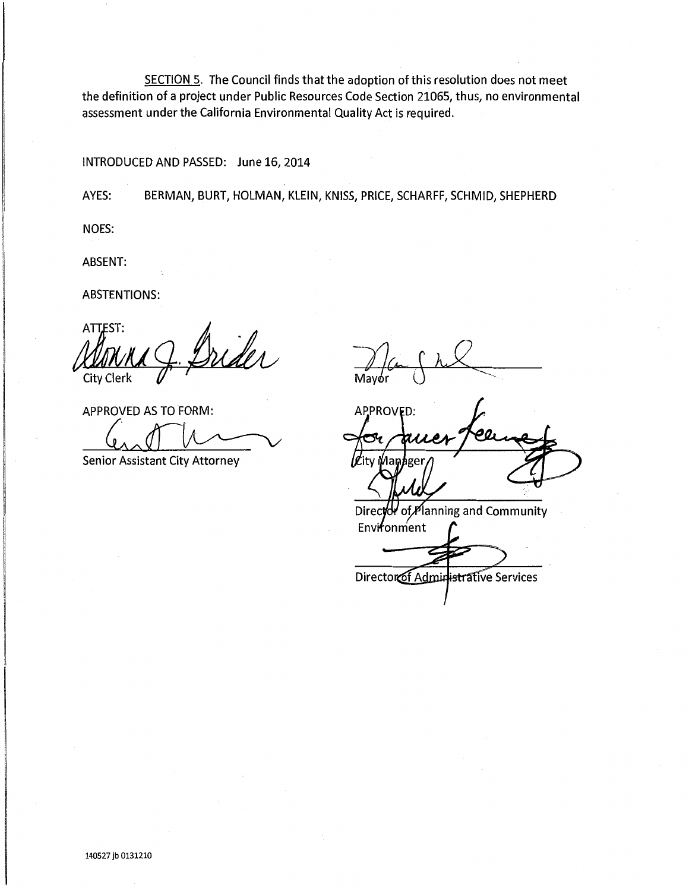SECTION 5. The Council finds that the adoption of this resolution does not meet the definition of a project under Public Resources Code Section 21065, thus, no environmental assessment under the California Environmental Quality Act is required.

#### INTRODUCED AND PASSED: June 16, 2014

AYES: BERMAN, BURT, HOLMAN, KLEIN, KNISS, PRICE, SCHARFF, SCHMID, SHEPHERD

NOES:

ABSENT:

ABSTENTIONS:

Allesi: ATTEST:<br>MONMA J. Drider

APPROVED AS TO FORM:

**Senior Assistant City Attorney** 

Mavór

**APPROVED:** 

of Planning and Community **Director** Environment

Director of Administrative Services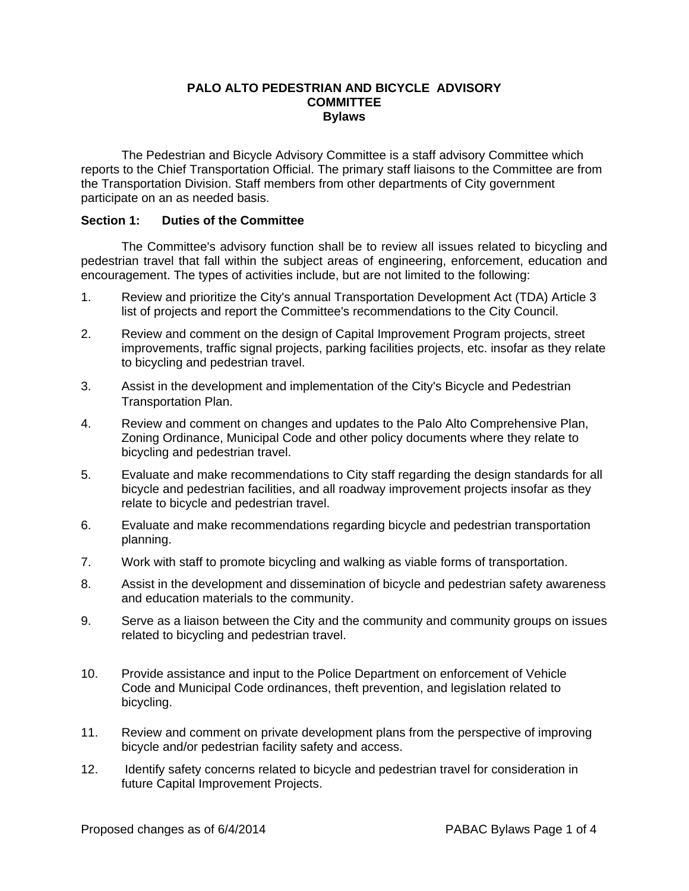#### **PALO ALTO PEDESTRIAN AND BICYCLE ADVISORY COMMITTEE Bylaws**

The Pedestrian and Bicycle Advisory Committee is a staff advisory Committee which reports to the Chief Transportation Official. The primary staff liaisons to the Committee are from the Transportation Division. Staff members from other departments of City government participate on an as needed basis.

#### **Section 1: Duties of the Committee**

The Committee's advisory function shall be to review all issues related to bicycling and pedestrian travel that fall within the subject areas of engineering, enforcement, education and encouragement. The types of activities include, but are not limited to the following:

- 1. Review and prioritize the City's annual Transportation Development Act (TDA) Article 3 list of projects and report the Committee's recommendations to the City Council.
- 2. Review and comment on the design of Capital Improvement Program projects, street improvements, traffic signal projects, parking facilities projects, etc. insofar as they relate to bicycling and pedestrian travel.
- 3. Assist in the development and implementation of the City's Bicycle and Pedestrian Transportation Plan.
- 4. Review and comment on changes and updates to the Palo Alto Comprehensive Plan, Zoning Ordinance, Municipal Code and other policy documents where they relate to bicycling and pedestrian travel.
- 5. Evaluate and make recommendations to City staff regarding the design standards for all bicycle and pedestrian facilities, and all roadway improvement projects insofar as they relate to bicycle and pedestrian travel.
- 6. Evaluate and make recommendations regarding bicycle and pedestrian transportation planning.
- 7. Work with staff to promote bicycling and walking as viable forms of transportation.
- 8. Assist in the development and dissemination of bicycle and pedestrian safety awareness and education materials to the community.
- 9. Serve as a liaison between the City and the community and community groups on issues related to bicycling and pedestrian travel.
- 10. Provide assistance and input to the Police Department on enforcement of Vehicle Code and Municipal Code ordinances, theft prevention, and legislation related to bicycling.
- 11. Review and comment on private development plans from the perspective of improving bicycle and/or pedestrian facility safety and access.
- 12. Identify safety concerns related to bicycle and pedestrian travel for consideration in future Capital Improvement Projects.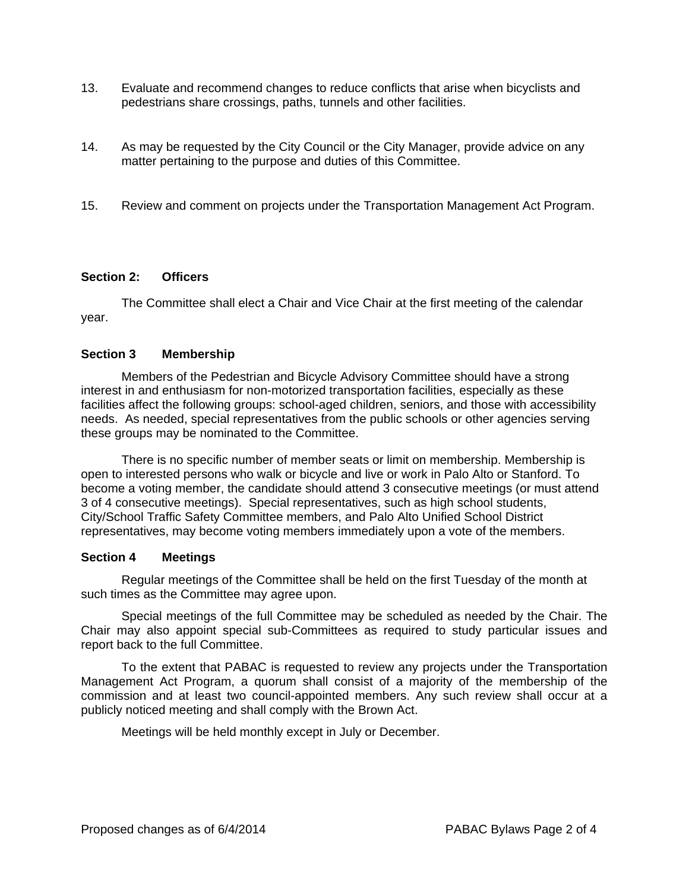- 13. Evaluate and recommend changes to reduce conflicts that arise when bicyclists and pedestrians share crossings, paths, tunnels and other facilities.
- 14. As may be requested by the City Council or the City Manager, provide advice on any matter pertaining to the purpose and duties of this Committee.
- 15. Review and comment on projects under the Transportation Management Act Program.

#### **Section 2: Officers**

The Committee shall elect a Chair and Vice Chair at the first meeting of the calendar year.

#### **Section 3 Membership**

Members of the Pedestrian and Bicycle Advisory Committee should have a strong interest in and enthusiasm for non-motorized transportation facilities, especially as these facilities affect the following groups: school-aged children, seniors, and those with accessibility needs. As needed, special representatives from the public schools or other agencies serving these groups may be nominated to the Committee.

There is no specific number of member seats or limit on membership. Membership is open to interested persons who walk or bicycle and live or work in Palo Alto or Stanford. To become a voting member, the candidate should attend 3 consecutive meetings (or must attend 3 of 4 consecutive meetings). Special representatives, such as high school students, City/School Traffic Safety Committee members, and Palo Alto Unified School District representatives, may become voting members immediately upon a vote of the members.

#### **Section 4 Meetings**

Regular meetings of the Committee shall be held on the first Tuesday of the month at such times as the Committee may agree upon.

Special meetings of the full Committee may be scheduled as needed by the Chair. The Chair may also appoint special sub-Committees as required to study particular issues and report back to the full Committee.

To the extent that PABAC is requested to review any projects under the Transportation Management Act Program, a quorum shall consist of a majority of the membership of the commission and at least two council-appointed members. Any such review shall occur at a publicly noticed meeting and shall comply with the Brown Act.

Meetings will be held monthly except in July or December.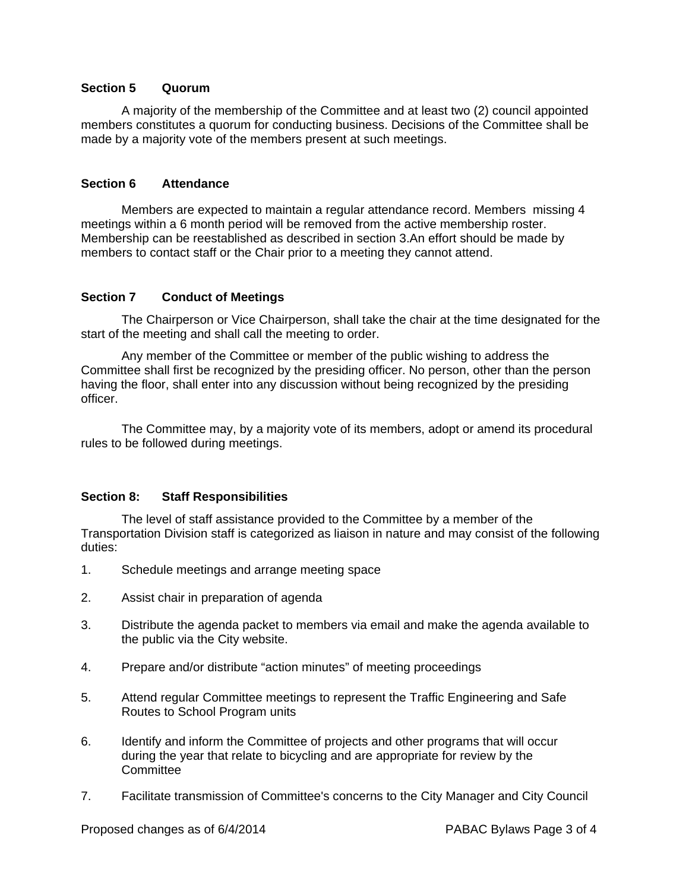#### **Section 5 Quorum**

A majority of the membership of the Committee and at least two (2) council appointed members constitutes a quorum for conducting business. Decisions of the Committee shall be made by a majority vote of the members present at such meetings.

#### **Section 6 Attendance**

Members are expected to maintain a regular attendance record. Members missing 4 meetings within a 6 month period will be removed from the active membership roster. Membership can be reestablished as described in section 3.An effort should be made by members to contact staff or the Chair prior to a meeting they cannot attend.

### **Section 7 Conduct of Meetings**

The Chairperson or Vice Chairperson, shall take the chair at the time designated for the start of the meeting and shall call the meeting to order.

Any member of the Committee or member of the public wishing to address the Committee shall first be recognized by the presiding officer. No person, other than the person having the floor, shall enter into any discussion without being recognized by the presiding officer.

The Committee may, by a majority vote of its members, adopt or amend its procedural rules to be followed during meetings.

### **Section 8: Staff Responsibilities**

The level of staff assistance provided to the Committee by a member of the Transportation Division staff is categorized as liaison in nature and may consist of the following duties:

- 1. Schedule meetings and arrange meeting space
- 2. Assist chair in preparation of agenda
- 3. Distribute the agenda packet to members via email and make the agenda available to the public via the City website.
- 4. Prepare and/or distribute "action minutes" of meeting proceedings
- 5. Attend regular Committee meetings to represent the Traffic Engineering and Safe Routes to School Program units
- 6. Identify and inform the Committee of projects and other programs that will occur during the year that relate to bicycling and are appropriate for review by the **Committee**
- 7. Facilitate transmission of Committee's concerns to the City Manager and City Council